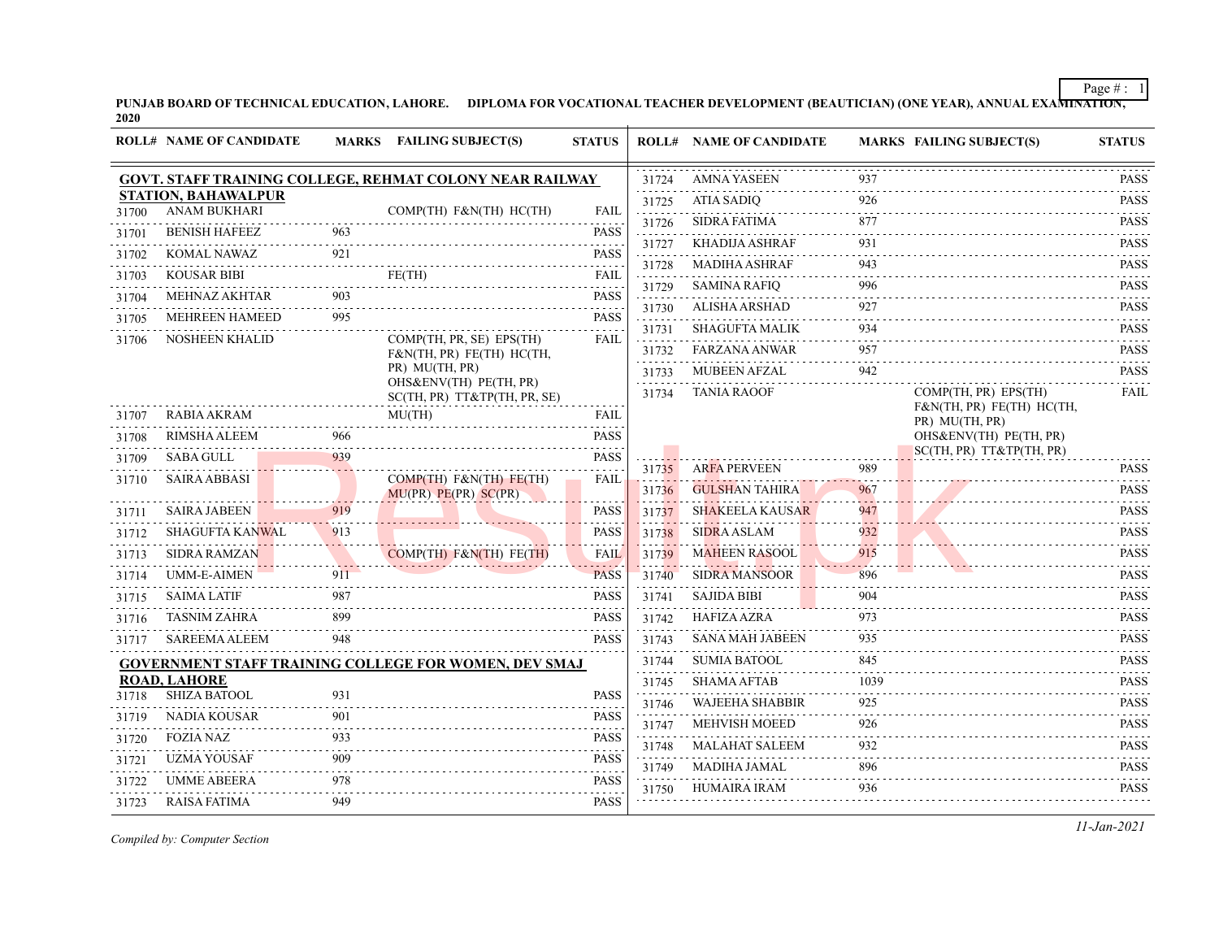**PUNJAB BOARD OF TECHNICAL EDUCATION, LAHORE. DIPLOMA FOR VOCATIONAL TEACHER DEVELOPMENT (BEAUTICIAN) (ONE YEAR), ANNUAL EXAMINATION, 2020**

|       | <b>ROLL# NAME OF CANDIDATE</b>             |     | MARKS FAILING SUBJECT(S)                                     | <b>STATUS</b>               |            | <b>ROLL# NAME OF CANDIDATE</b> |                                  | <b>MARKS FAILING SUBJECT(S)</b>             | <b>STATUS</b>                                                                                                                                                                                                                                                                                                                                     |
|-------|--------------------------------------------|-----|--------------------------------------------------------------|-----------------------------|------------|--------------------------------|----------------------------------|---------------------------------------------|---------------------------------------------------------------------------------------------------------------------------------------------------------------------------------------------------------------------------------------------------------------------------------------------------------------------------------------------------|
|       |                                            |     | GOVT. STAFF TRAINING COLLEGE, REHMAT COLONY NEAR RAILWAY     |                             | 31724      | <b>AMNA YASEEN</b>             | 937                              |                                             | <b>PASS</b>                                                                                                                                                                                                                                                                                                                                       |
|       | <b>STATION, BAHAWALPUR</b>                 |     |                                                              |                             | 31725      | <b>ATIA SADIQ</b>              | 926                              |                                             | .<br><b>PASS</b>                                                                                                                                                                                                                                                                                                                                  |
| 31700 | <b>ANAM BUKHARI</b>                        |     | COMP(TH) F&N(TH) HC(TH)                                      | <b>FAIL</b>                 | 31726      | <b>SIDRA FATIMA</b>            | 877                              |                                             | 2.2.2.2.2.1<br><b>PASS</b>                                                                                                                                                                                                                                                                                                                        |
| 31701 | <b>BENISH HAFEEZ</b>                       | 963 |                                                              | <b>PASS</b><br>$-1 - 1 - 1$ | 31727      | <b>KHADIJA ASHRAF</b>          | 931                              |                                             | <b>PASS</b>                                                                                                                                                                                                                                                                                                                                       |
| 31702 | <b>KOMAL NAWAZ</b>                         | 921 |                                                              | <b>PASS</b>                 | 31728      | <b>MADIHA ASHRAF</b>           | 943                              |                                             | <b>PASS</b>                                                                                                                                                                                                                                                                                                                                       |
| 31703 | <b>KOUSAR BIBI</b>                         | 903 | FE(TH)                                                       | FAIL                        | 31729      | <b>SAMINA RAFIQ</b>            | 996                              |                                             | <b>PASS</b>                                                                                                                                                                                                                                                                                                                                       |
| 31704 | <b>MEHNAZ AKHTAR</b>                       |     |                                                              | <b>PASS</b><br>$-1 - 1 - 1$ | 31730      | ALISHA ARSHAD                  | 927                              |                                             | .<br><b>PASS</b>                                                                                                                                                                                                                                                                                                                                  |
| 31705 | <b>MEHREEN HAMEED</b>                      | 995 |                                                              | <b>PASS</b>                 | 31731      | <b>SHAGUFTA MALIK</b>          | 934                              |                                             | .<br><b>PASS</b>                                                                                                                                                                                                                                                                                                                                  |
| 31706 | <b>NOSHEEN KHALID</b>                      |     | COMP(TH, PR, SE) EPS(TH)<br>F&N(TH, PR) FE(TH) HC(TH,        | FAIL                        | 31732      | <b>FARZANA ANWAR</b>           | 957                              |                                             | <b>PASS</b>                                                                                                                                                                                                                                                                                                                                       |
|       |                                            |     | PR) MU(TH, PR)                                               |                             | 31733      | <b>MUBEEN AFZAL</b>            | 942                              |                                             | والمرامي المرابط<br><b>PASS</b>                                                                                                                                                                                                                                                                                                                   |
|       |                                            |     | OHS&ENV(TH) PE(TH, PR)<br>SC(TH, PR) TT&TP(TH, PR, SE)       |                             | 31734      | <b>TANIA RAOOF</b>             |                                  | COMP(TH, PR) EPS(TH)                        | <b>FAIL</b>                                                                                                                                                                                                                                                                                                                                       |
| 31707 | <b>RABIA AKRAM</b>                         |     | MU(TH)                                                       | FAIL                        |            |                                |                                  | F&N(TH, PR) FE(TH) HC(TH,<br>PR) MU(TH, PR) |                                                                                                                                                                                                                                                                                                                                                   |
| 31708 | <b>RIMSHA ALEEM</b>                        | 966 |                                                              | <b>PASS</b>                 |            |                                |                                  | OHS&ENV(TH) PE(TH, PR)                      |                                                                                                                                                                                                                                                                                                                                                   |
| 31709 | <b>SABA GULL</b>                           | 939 |                                                              | <b>PASS</b>                 |            |                                |                                  | SC(TH, PR) TT&TP(TH, PR)                    |                                                                                                                                                                                                                                                                                                                                                   |
| 31710 | <b>SAIRA ABBASI</b>                        |     | COMP(TH) F&N(TH) FE(TH)                                      | <b>FAIL</b>                 | 31735      | <b>ARFA PERVEEN</b>            | 989                              |                                             | <b>PASS</b><br>$- - - - -$                                                                                                                                                                                                                                                                                                                        |
|       |                                            |     | $MU(PR)$ $PE(PR)$ $SC(PR)$                                   |                             | 31736      | <b>GULSHAN TAHIRA</b>          | 967                              |                                             | <b>PASS</b><br>$\frac{1}{2} \left( \begin{array}{ccc} 1 & 0 & 0 & 0 & 0 \\ 0 & 0 & 0 & 0 & 0 \\ 0 & 0 & 0 & 0 & 0 \\ 0 & 0 & 0 & 0 & 0 \\ 0 & 0 & 0 & 0 & 0 \\ 0 & 0 & 0 & 0 & 0 \\ 0 & 0 & 0 & 0 & 0 \\ 0 & 0 & 0 & 0 & 0 \\ 0 & 0 & 0 & 0 & 0 \\ 0 & 0 & 0 & 0 & 0 \\ 0 & 0 & 0 & 0 & 0 \\ 0 & 0 & 0 & 0 & 0 \\ 0 & 0 & 0 & 0 & 0 \\ 0 & 0 & 0$ |
| 31711 | <b>SAIRA JABEEN</b>                        | 919 |                                                              | <b>PASS</b>                 | 31737      | <b>SHAKEELA KAUSAR</b>         | 947                              |                                             | <b>PASS</b>                                                                                                                                                                                                                                                                                                                                       |
| 31712 | <b>SHAGUFTA KANWAL</b>                     | 913 |                                                              | <b>PASS</b>                 | 31738      | <b>SIDRA ASLAM</b>             | 932                              |                                             | <b>PASS</b><br>د د د د د                                                                                                                                                                                                                                                                                                                          |
| 31713 | <b>SIDRA RAMZAN</b>                        |     | COMP(TH) F&N(TH) FE(TH)                                      | <b>FAIL</b>                 | 31739      | <b>MAHEEN RASOOL</b>           | 915<br>المتحدث والمكاني          |                                             | <b>PASS</b><br>$\omega$ is a single $\omega$                                                                                                                                                                                                                                                                                                      |
| 31714 | <b>UMM-E-AIMEN</b>                         | 911 |                                                              | <b>PASS</b>                 | 31740      | <b>SIDRA MANSOOR</b>           | 896                              |                                             | <b>PASS</b>                                                                                                                                                                                                                                                                                                                                       |
| 31715 | <b>SAIMA LATIF</b>                         | 987 |                                                              | <b>PASS</b>                 | 31741      | <b>SAJIDA BIBI</b>             | 904                              |                                             | <b>PASS</b><br>.                                                                                                                                                                                                                                                                                                                                  |
| 31716 | <b>TASNIM ZAHRA</b>                        | 899 |                                                              | <b>PASS</b>                 | 31742      | <b>HAFIZA AZRA</b>             | 973                              |                                             | <b>PASS</b><br>1.1.1.1.1                                                                                                                                                                                                                                                                                                                          |
| 31717 | <b>SAREEMA ALEEM</b>                       | 948 |                                                              | <b>PASS</b>                 | 31743      | <b>SANA MAH JABEEN</b>         | 935                              |                                             | <b>PASS</b>                                                                                                                                                                                                                                                                                                                                       |
|       |                                            |     | <b>GOVERNMENT STAFF TRAINING COLLEGE FOR WOMEN, DEV SMAJ</b> |                             | 31744      | <b>SUMIA BATOOL</b>            | 845                              |                                             | <b>PASS</b>                                                                                                                                                                                                                                                                                                                                       |
| 31718 | <b>ROAD, LAHORE</b><br><b>SHIZA BATOOL</b> | 931 |                                                              | <b>PASS</b>                 | 31745      | <b>SHAMA AFTAB</b>             | 1039<br>2.2.2.2                  |                                             | <b>PASS</b><br>$\alpha$ is a second or $\alpha$                                                                                                                                                                                                                                                                                                   |
| 31719 | <b>NADIA KOUSAR</b>                        | 901 |                                                              | <b>PASS</b>                 | 31746      | <b>WAJEEHA SHABBIR</b>         | 925                              |                                             | <b>PASS</b>                                                                                                                                                                                                                                                                                                                                       |
|       | <b>FOZIA NAZ</b>                           | 933 |                                                              | <b>PASS</b>                 | 31747      | <b>MEHVISH MOEED</b>           | 926                              |                                             | <b>PASS</b><br>.                                                                                                                                                                                                                                                                                                                                  |
| 31720 | <b>UZMA YOUSAF</b>                         | 909 |                                                              | $-1 - 1 - 1$<br><b>PASS</b> | 31748<br>. | <b>MALAHAT SALEEM</b>          | 932<br>$\omega$ in $\omega$ in . |                                             | <b>PASS</b><br>$\alpha$ is a second or $\alpha$                                                                                                                                                                                                                                                                                                   |
| 31721 | <b>UMME ABEERA</b>                         | 978 |                                                              |                             | 31749      | <b>MADIHA JAMAL</b>            | 896                              |                                             | <b>PASS</b>                                                                                                                                                                                                                                                                                                                                       |
| 31722 |                                            |     |                                                              | <b>PASS</b>                 | 31750      | <b>HUMAIRA IRAM</b>            | 936                              |                                             | <b>PASS</b>                                                                                                                                                                                                                                                                                                                                       |
| 31723 | <b>RAISA FATIMA</b>                        | 949 |                                                              | <b>PASS</b>                 |            |                                |                                  |                                             |                                                                                                                                                                                                                                                                                                                                                   |

*Compiled by: Computer Section*

*11-Jan-2021*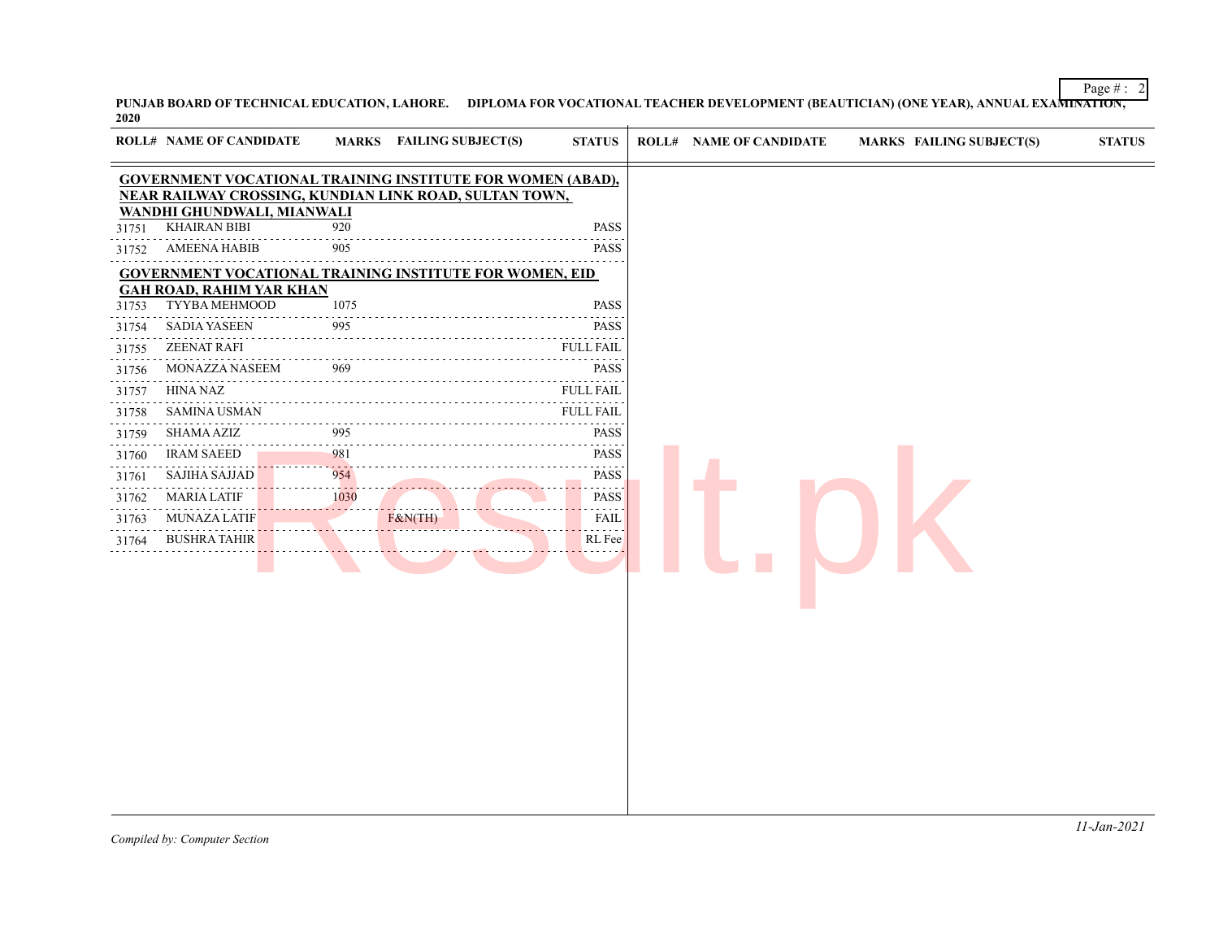**PUNJAB BOARD OF TECHNICAL EDUCATION, LAHORE. DIPLOMA FOR VOCATIONAL TEACHER DEVELOPMENT (BEAUTICIAN) (ONE YEAR), ANNUAL EXAMINATION, 2020**

| <b>GOVERNMENT VOCATIONAL TRAINING INSTITUTE FOR WOMEN (ABAD),</b><br>NEAR RAILWAY CROSSING, KUNDIAN LINK ROAD, SULTAN TOWN,<br>WANDHI GHUNDWALI, MIANWALI<br><b>KHAIRAN BIBI</b><br><b>PASS</b><br>920<br>31751<br><b>AMEENA HABIB</b><br>905<br><b>PASS</b><br>31752<br><b>GOVERNMENT VOCATIONAL TRAINING INSTITUTE FOR WOMEN, EID</b><br><b>GAH ROAD, RAHIM YAR KHAN</b><br>TYYBA MEHMOOD<br>1075<br><b>PASS</b><br>31753<br>PASS<br><b>SADIA YASEEN</b><br>995<br>31754<br><b>ZEENAT RAFI</b><br><b>FULL FAIL</b><br>31755<br>.<br>969<br><b>PASS</b><br>MONAZZA NASEEM<br>31756<br>HINA NAZ<br><b>FULL FAIL</b><br>31757<br><b>SAMINA USMAN</b><br><b>FULL FAIL</b><br>31758<br>.<br>995<br><b>PASS</b><br>SHAMA AZIZ<br>31759<br>981<br>PASS<br><b>IRAM SAEED</b><br>31760<br>954<br><b>SAJIHA SAJJAD</b><br><b>PASS</b><br>31761<br>.<br>.<br><b>MARIA LATIF</b><br>1030<br>PASS<br>31762<br>$\mathcal{L}^{\mathcal{A}}\left( \mathcal{A}^{\mathcal{A}}\right) =\mathcal{L}^{\mathcal{A}}\left( \mathcal{A}^{\mathcal{A}}\right)$<br>F&N(TH)<br><b>MUNAZA LATIF</b><br>FAIL<br>31763<br><b>BUSHRA TAHIR</b><br>RL Fee<br>31764 |  | <b>ROLL# NAME OF CANDIDATE</b> | <b>MARKS</b> FAILING SUBJECT(S) | <b>STATUS</b> | <b>ROLL# NAME OF CANDIDATE</b> | MARKS FAILING SUBJECT(S) | <b>STATUS</b> |
|--------------------------------------------------------------------------------------------------------------------------------------------------------------------------------------------------------------------------------------------------------------------------------------------------------------------------------------------------------------------------------------------------------------------------------------------------------------------------------------------------------------------------------------------------------------------------------------------------------------------------------------------------------------------------------------------------------------------------------------------------------------------------------------------------------------------------------------------------------------------------------------------------------------------------------------------------------------------------------------------------------------------------------------------------------------------------------------------------------------------------------------|--|--------------------------------|---------------------------------|---------------|--------------------------------|--------------------------|---------------|
|                                                                                                                                                                                                                                                                                                                                                                                                                                                                                                                                                                                                                                                                                                                                                                                                                                                                                                                                                                                                                                                                                                                                      |  |                                |                                 |               |                                |                          |               |
|                                                                                                                                                                                                                                                                                                                                                                                                                                                                                                                                                                                                                                                                                                                                                                                                                                                                                                                                                                                                                                                                                                                                      |  |                                |                                 |               |                                |                          |               |
|                                                                                                                                                                                                                                                                                                                                                                                                                                                                                                                                                                                                                                                                                                                                                                                                                                                                                                                                                                                                                                                                                                                                      |  |                                |                                 |               |                                |                          |               |
|                                                                                                                                                                                                                                                                                                                                                                                                                                                                                                                                                                                                                                                                                                                                                                                                                                                                                                                                                                                                                                                                                                                                      |  |                                |                                 |               |                                |                          |               |
|                                                                                                                                                                                                                                                                                                                                                                                                                                                                                                                                                                                                                                                                                                                                                                                                                                                                                                                                                                                                                                                                                                                                      |  |                                |                                 |               |                                |                          |               |
|                                                                                                                                                                                                                                                                                                                                                                                                                                                                                                                                                                                                                                                                                                                                                                                                                                                                                                                                                                                                                                                                                                                                      |  |                                |                                 |               |                                |                          |               |
|                                                                                                                                                                                                                                                                                                                                                                                                                                                                                                                                                                                                                                                                                                                                                                                                                                                                                                                                                                                                                                                                                                                                      |  |                                |                                 |               |                                |                          |               |
|                                                                                                                                                                                                                                                                                                                                                                                                                                                                                                                                                                                                                                                                                                                                                                                                                                                                                                                                                                                                                                                                                                                                      |  |                                |                                 |               |                                |                          |               |
|                                                                                                                                                                                                                                                                                                                                                                                                                                                                                                                                                                                                                                                                                                                                                                                                                                                                                                                                                                                                                                                                                                                                      |  |                                |                                 |               |                                |                          |               |
|                                                                                                                                                                                                                                                                                                                                                                                                                                                                                                                                                                                                                                                                                                                                                                                                                                                                                                                                                                                                                                                                                                                                      |  |                                |                                 |               |                                |                          |               |
|                                                                                                                                                                                                                                                                                                                                                                                                                                                                                                                                                                                                                                                                                                                                                                                                                                                                                                                                                                                                                                                                                                                                      |  |                                |                                 |               |                                |                          |               |
|                                                                                                                                                                                                                                                                                                                                                                                                                                                                                                                                                                                                                                                                                                                                                                                                                                                                                                                                                                                                                                                                                                                                      |  |                                |                                 |               |                                |                          |               |
|                                                                                                                                                                                                                                                                                                                                                                                                                                                                                                                                                                                                                                                                                                                                                                                                                                                                                                                                                                                                                                                                                                                                      |  |                                |                                 |               |                                |                          |               |
|                                                                                                                                                                                                                                                                                                                                                                                                                                                                                                                                                                                                                                                                                                                                                                                                                                                                                                                                                                                                                                                                                                                                      |  |                                |                                 |               |                                |                          |               |
|                                                                                                                                                                                                                                                                                                                                                                                                                                                                                                                                                                                                                                                                                                                                                                                                                                                                                                                                                                                                                                                                                                                                      |  |                                |                                 |               |                                |                          |               |
|                                                                                                                                                                                                                                                                                                                                                                                                                                                                                                                                                                                                                                                                                                                                                                                                                                                                                                                                                                                                                                                                                                                                      |  |                                |                                 |               |                                |                          |               |
|                                                                                                                                                                                                                                                                                                                                                                                                                                                                                                                                                                                                                                                                                                                                                                                                                                                                                                                                                                                                                                                                                                                                      |  |                                |                                 |               |                                |                          |               |
|                                                                                                                                                                                                                                                                                                                                                                                                                                                                                                                                                                                                                                                                                                                                                                                                                                                                                                                                                                                                                                                                                                                                      |  |                                |                                 |               |                                |                          |               |
|                                                                                                                                                                                                                                                                                                                                                                                                                                                                                                                                                                                                                                                                                                                                                                                                                                                                                                                                                                                                                                                                                                                                      |  |                                |                                 |               |                                |                          |               |
|                                                                                                                                                                                                                                                                                                                                                                                                                                                                                                                                                                                                                                                                                                                                                                                                                                                                                                                                                                                                                                                                                                                                      |  |                                |                                 |               |                                |                          |               |
|                                                                                                                                                                                                                                                                                                                                                                                                                                                                                                                                                                                                                                                                                                                                                                                                                                                                                                                                                                                                                                                                                                                                      |  |                                |                                 |               |                                |                          |               |
|                                                                                                                                                                                                                                                                                                                                                                                                                                                                                                                                                                                                                                                                                                                                                                                                                                                                                                                                                                                                                                                                                                                                      |  |                                |                                 |               |                                |                          |               |
|                                                                                                                                                                                                                                                                                                                                                                                                                                                                                                                                                                                                                                                                                                                                                                                                                                                                                                                                                                                                                                                                                                                                      |  |                                |                                 |               |                                |                          |               |
|                                                                                                                                                                                                                                                                                                                                                                                                                                                                                                                                                                                                                                                                                                                                                                                                                                                                                                                                                                                                                                                                                                                                      |  |                                |                                 |               |                                |                          |               |
|                                                                                                                                                                                                                                                                                                                                                                                                                                                                                                                                                                                                                                                                                                                                                                                                                                                                                                                                                                                                                                                                                                                                      |  |                                |                                 |               |                                |                          |               |
|                                                                                                                                                                                                                                                                                                                                                                                                                                                                                                                                                                                                                                                                                                                                                                                                                                                                                                                                                                                                                                                                                                                                      |  |                                |                                 |               |                                |                          |               |
|                                                                                                                                                                                                                                                                                                                                                                                                                                                                                                                                                                                                                                                                                                                                                                                                                                                                                                                                                                                                                                                                                                                                      |  |                                |                                 |               |                                |                          |               |
|                                                                                                                                                                                                                                                                                                                                                                                                                                                                                                                                                                                                                                                                                                                                                                                                                                                                                                                                                                                                                                                                                                                                      |  |                                |                                 |               |                                |                          |               |
|                                                                                                                                                                                                                                                                                                                                                                                                                                                                                                                                                                                                                                                                                                                                                                                                                                                                                                                                                                                                                                                                                                                                      |  |                                |                                 |               |                                |                          |               |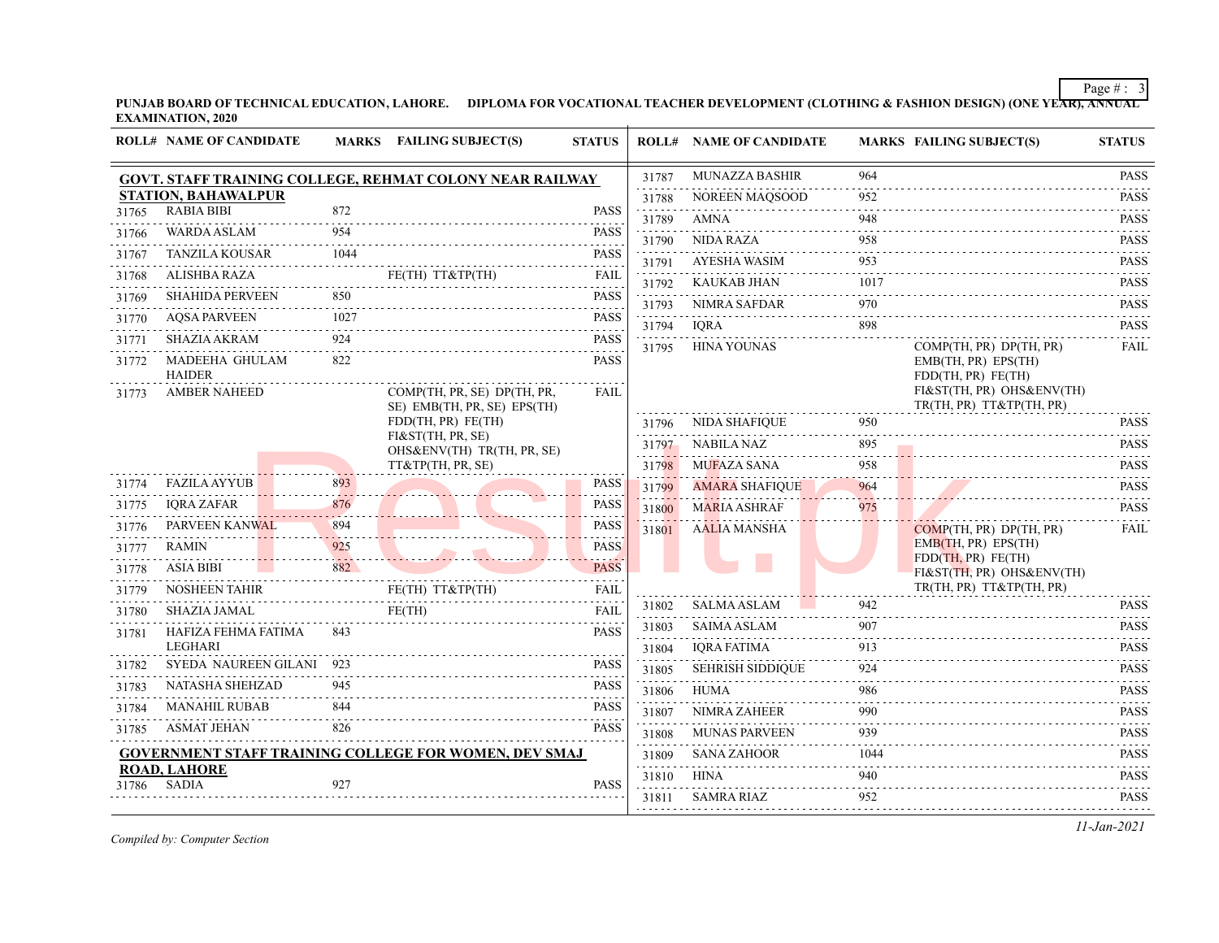**PUNJAB BOARD OF TECHNICAL EDUCATION, LAHORE. DIPLOMA FOR VOCATIONAL TEACHER DEVELOPMENT (CLOTHING & FASHION DESIGN) (ONE YEAR), ANNUAL EXAMINATION, 2020**

|                | <b>ROLL# NAME OF CANDIDATE</b>                         |                  | MARKS FAILING SUBJECT(S)                                     | <b>STATUS</b>       |            | <b>ROLL# NAME OF CANDIDATE</b> |          | <b>MARKS FAILING SUBJECT(S)</b>                                                                    | <b>STATUS</b>                                                                                                                                                       |
|----------------|--------------------------------------------------------|------------------|--------------------------------------------------------------|---------------------|------------|--------------------------------|----------|----------------------------------------------------------------------------------------------------|---------------------------------------------------------------------------------------------------------------------------------------------------------------------|
|                |                                                        |                  | GOVT. STAFF TRAINING COLLEGE, REHMAT COLONY NEAR RAILWAY     |                     | 31787<br>. | <b>MUNAZZA BASHIR</b>          | 964      |                                                                                                    | <b>PASS</b>                                                                                                                                                         |
|                | <b>STATION, BAHAWALPUR</b>                             |                  |                                                              |                     | 31788      | NOREEN MAQSOOD                 | 952      |                                                                                                    | <b>PASS</b><br>.                                                                                                                                                    |
| 31765          | <b>RABIA BIBI</b>                                      | 872              |                                                              | <b>PASS</b><br>.    | 31789      | AMNA                           | 948      |                                                                                                    | <b>PASS</b>                                                                                                                                                         |
| 31766          | <b>WARDA ASLAM</b>                                     | 954              |                                                              | <b>PASS</b>         | 31790      | <b>NIDA RAZA</b>               | 958      |                                                                                                    | <b>PASS</b>                                                                                                                                                         |
| 31767          | <b>TANZILA KOUSAR</b>                                  | 1044             |                                                              | <b>PASS</b>         | 31791      | <b>AYESHA WASIM</b>            | 953      |                                                                                                    | <u>.</u><br><b>PASS</b>                                                                                                                                             |
| 31768          | <b>ALISHBA RAZA</b>                                    |                  | FE(TH) TT&TP(TH)                                             | <b>FAIL</b><br>.    | 31792      | <b>KAUKAB JHAN</b>             | 1017     |                                                                                                    | $\omega$ is a second set of $\omega$<br><b>PASS</b>                                                                                                                 |
| 31769          | <b>SHAHIDA PERVEEN</b>                                 | 850              |                                                              | <b>PASS</b><br>.    | 31793      | NIMRA SAFDAR                   | 970      |                                                                                                    | $-1 - 1 - 1$<br><b>PASS</b>                                                                                                                                         |
| 31770          | <b>AQSA PARVEEN</b>                                    | 1027             |                                                              | <b>PASS</b>         | 31794      | <b>IORA</b>                    | 898      |                                                                                                    | <b>PASS</b>                                                                                                                                                         |
| 31771          | <b>SHAZIA AKRAM</b>                                    | 924              |                                                              | <b>PASS</b>         | 31795      | <b>HINA YOUNAS</b>             |          | COMP(TH, PR) DP(TH, PR)                                                                            | <b>FAIL</b>                                                                                                                                                         |
| 31772<br>31773 | MADEEHA GHULAM<br><b>HAIDER</b><br><b>AMBER NAHEED</b> | 822              | COMP(TH, PR, SE) DP(TH, PR,                                  | <b>PASS</b><br>FAIL |            |                                |          | EMB(TH, PR) EPS(TH)<br>FDD(TH, PR) FE(TH)<br>FI&ST(TH, PR) OHS&ENV(TH)<br>TR(TH, PR) TT&TP(TH, PR) |                                                                                                                                                                     |
|                |                                                        |                  | SE) EMB(TH, PR, SE) EPS(TH)<br>FDD(TH, PR) FE(TH)            |                     | 31796      | <b>NIDA SHAFIQUE</b>           | 950      |                                                                                                    | <b>PASS</b>                                                                                                                                                         |
|                |                                                        |                  | FI&ST(TH, PR, SE)                                            |                     | 31797      | <b>NABILA NAZ</b>              | 895      |                                                                                                    | <b>PASS</b>                                                                                                                                                         |
|                |                                                        |                  | OHS&ENV(TH) TR(TH, PR, SE)<br>TT&TP(TH, PR, SE)              |                     | 31798      | MUFAZA SANA                    | .<br>958 |                                                                                                    | .<br><b>PASS</b>                                                                                                                                                    |
| 31774          | <b>FAZILA AYYUB</b>                                    | 893              |                                                              | <b>PASS</b>         | 31799      | <b>AMARA SHAFIOUE</b>          | 964      |                                                                                                    | <b>PASS</b>                                                                                                                                                         |
| 31775          | <b>IQRA ZAFAR</b>                                      | 876              |                                                              | <b>PASS</b>         | 31800      | <b>MARIA ASHRAF</b>            | 975      |                                                                                                    | .<br><b>PASS</b>                                                                                                                                                    |
| 31776          | PARVEEN KANWAL                                         | 894              |                                                              | <b>PASS</b>         | 31801      | <b>AALIA MANSHA</b>            |          | COMP(TH, PR) DP(TH, PR)                                                                            | <b>FAIL</b>                                                                                                                                                         |
| 31777          | <b>RAMIN</b>                                           | 925              |                                                              | <b>PASS</b>         |            |                                |          | EMB(TH, PR) EPS(TH)                                                                                |                                                                                                                                                                     |
| 31778          | <b>ASIA BIBI</b>                                       | <b>1.</b><br>882 |                                                              | <b>PASS</b>         |            |                                |          | FDD(TH, PR) FE(TH)<br>FI&ST(TH, PR) OHS&ENV(TH)                                                    |                                                                                                                                                                     |
| 31779          | <b>NOSHEEN TAHIR</b>                                   |                  | FE(TH) TT&TP(TH)                                             | <b>FAIL</b>         |            |                                |          | TR(TH, PR) TT&TP(TH, PR)                                                                           |                                                                                                                                                                     |
| 31780          | SHAZIA JAMAL                                           |                  | FE(TH)                                                       | FAIL                | 31802      | <b>SALMA ASLAM</b>             | 942      |                                                                                                    | <b>PASS</b>                                                                                                                                                         |
| 31781          | HAFIZA FEHMA FATIMA                                    | 843              | <u>.</u>                                                     | <b>PASS</b>         | 31803      | <b>SAIMA ASLAM</b>             | 907      |                                                                                                    | <b>PASS</b><br>.                                                                                                                                                    |
|                | <b>LEGHARI</b>                                         |                  |                                                              |                     | 31804      | <b>IQRA FATIMA</b>             | 913<br>. |                                                                                                    | <b>PASS</b><br>$\frac{1}{2} \left( \frac{1}{2} \right) \left( \frac{1}{2} \right) \left( \frac{1}{2} \right) \left( \frac{1}{2} \right) \left( \frac{1}{2} \right)$ |
| 31782          | SYEDA NAUREEN GILANI 923                               |                  |                                                              | <b>PASS</b>         | 31805      | <b>SEHRISH SIDDIQUE</b>        | 924      |                                                                                                    | <b>PASS</b>                                                                                                                                                         |
| 31783          | <b>NATASHA SHEHZAD</b>                                 | 945              |                                                              | <b>PASS</b>         | 31806      | <b>HUMA</b>                    | 986      |                                                                                                    | <b>PASS</b><br>.                                                                                                                                                    |
| 31784          | <b>MANAHIL RUBAB</b>                                   | 844              |                                                              | <b>PASS</b>         | 31807<br>. | NIMRA ZAHEER                   | 990<br>. |                                                                                                    | <b>PASS</b><br>.                                                                                                                                                    |
| 31785          | ASMAT JEHAN                                            | 826              |                                                              | <b>PASS</b>         | 31808      | <b>MUNAS PARVEEN</b>           | 939      |                                                                                                    | <b>PASS</b>                                                                                                                                                         |
|                |                                                        |                  | <b>GOVERNMENT STAFF TRAINING COLLEGE FOR WOMEN, DEV SMAJ</b> |                     | 31809      | <b>SANA ZAHOOR</b>             | 1044     |                                                                                                    | <b>PASS</b>                                                                                                                                                         |
| 31786          | <b>ROAD, LAHORE</b><br>SADIA                           | 927              |                                                              | <b>PASS</b>         | 31810      | <b>HINA</b>                    | 940      |                                                                                                    | <b>PASS</b>                                                                                                                                                         |
|                |                                                        |                  |                                                              |                     | 31811      | SAMRA RIAZ                     | 952      |                                                                                                    | <b>PASS</b>                                                                                                                                                         |

*Compiled by: Computer Section*

*11-Jan-2021*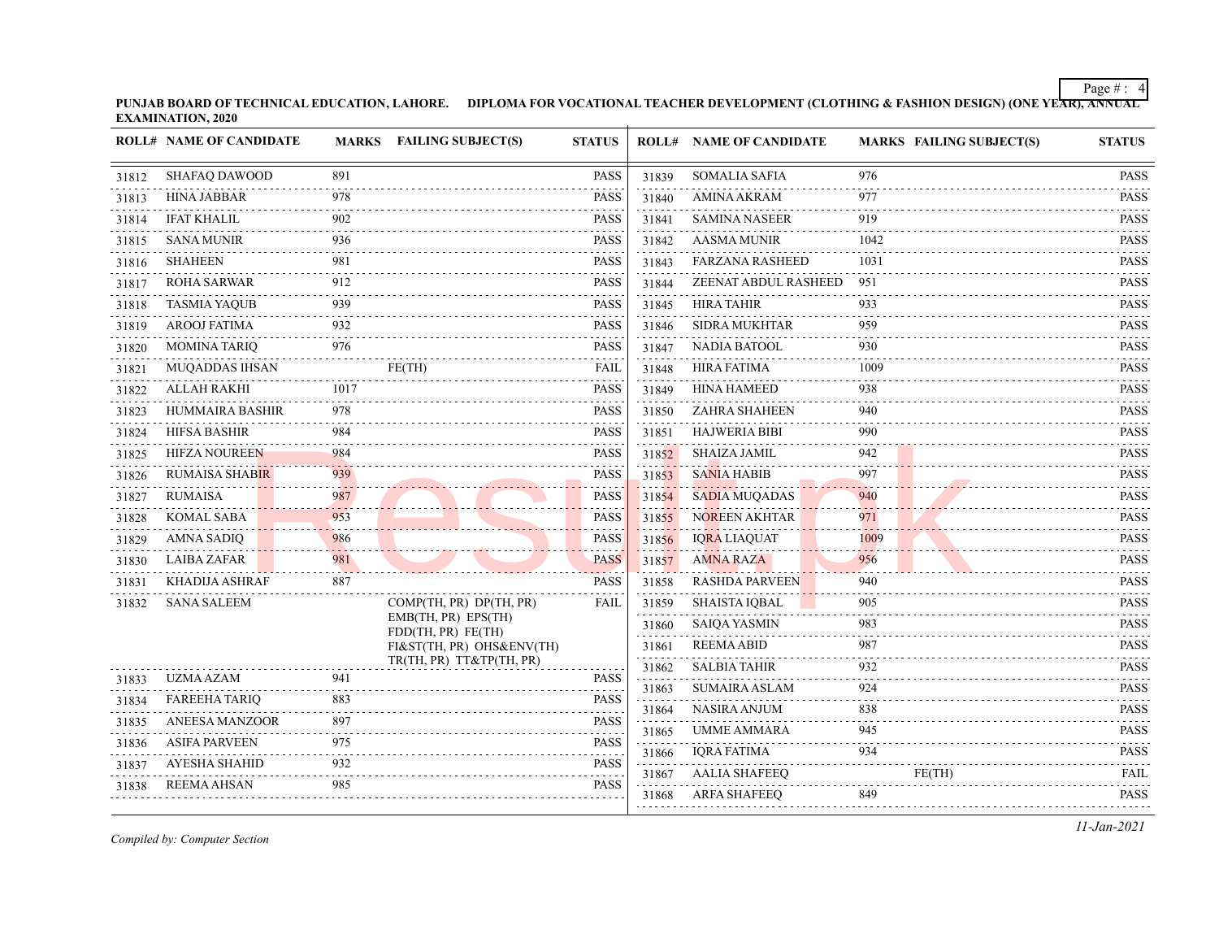**PUNJAB BOARD OF TECHNICAL EDUCATION, LAHORE. DIPLOMA FOR VOCATIONAL TEACHER DEVELOPMENT (CLOTHING & FASHION DESIGN) (ONE YEAR), ANNUAL EXAMINATION, 2020**

|       | <b>ROLL# NAME OF CANDIDATE</b>               |            | MARKS FAILING SUBJECT(S)                  | <b>STATUS</b>              |                                             | <b>ROLL# NAME OF CANDIDATE</b> | <b>MARKS FAILING SUBJECT(S)</b> | <b>STATUS</b>                                                                                                                                                       |
|-------|----------------------------------------------|------------|-------------------------------------------|----------------------------|---------------------------------------------|--------------------------------|---------------------------------|---------------------------------------------------------------------------------------------------------------------------------------------------------------------|
| 31812 | <b>SHAFAO DAWOOD</b>                         | 891        |                                           | <b>PASS</b>                | 31839                                       | <b>SOMALIA SAFIA</b>           | 976                             | <b>PASS</b>                                                                                                                                                         |
| 31813 | <b>HINA JABBAR</b>                           | 978        |                                           | <b>PASS</b>                | 31840                                       | <b>AMINA AKRAM</b>             | 977                             | <b>PASS</b>                                                                                                                                                         |
| 31814 | <b>IFAT KHALIL</b>                           | 902        |                                           | <b>PASS</b>                | 31841                                       | <b>SAMINA NASEER</b>           | 919                             | <b>PASS</b>                                                                                                                                                         |
| 31815 | <b>SANA MUNIR</b>                            | 936        |                                           | <b>PASS</b>                | 31842                                       | <b>AASMA MUNIR</b>             | 1042                            | .<br><b>PASS</b>                                                                                                                                                    |
| 31816 | <b>SHAHEEN</b>                               | 981        |                                           | <b>PASS</b>                | 31843                                       | <b>FARZANA RASHEED</b>         | 1031                            | <b>PASS</b>                                                                                                                                                         |
| 31817 | <b>ROHA SARWAR</b>                           | 912        |                                           | <b>PASS</b>                | 31844                                       | ZEENAT ABDUL RASHEED           | 951                             | <b>PASS</b><br>$- - - - -$                                                                                                                                          |
| 31818 | <b>TASMIA YAQUB</b>                          | 939        |                                           | <b>PASS</b>                | 31845                                       | <b>HIRA TAHIR</b>              | 933                             | <b>PASS</b><br>$-1 - 1 - 1 - 1$                                                                                                                                     |
| 31819 | <b>AROOJ FATIMA</b>                          | 932        |                                           | <b>PASS</b>                | 31846                                       | <b>SIDRA MUKHTAR</b>           | 959                             | <b>PASS</b>                                                                                                                                                         |
| 31820 | <b>MOMINA TARIQ</b>                          | 976        |                                           | <b>PASS</b>                | 31847                                       | NADIA BATOOL                   | 930                             | <b>PASS</b>                                                                                                                                                         |
| 31821 | <b>MUQADDAS IHSAN</b>                        |            | FE(TH)                                    | <b>FAIL</b>                | 31848                                       | <b>HIRA FATIMA</b>             | 1009                            | <b>PASS</b>                                                                                                                                                         |
| 31822 | ALLAH RAKHI                                  | 1017       |                                           | <b>PASS</b>                | 31849                                       | <b>HINA HAMEED</b>             | 938                             | <b>PASS</b>                                                                                                                                                         |
| 31823 | HUMMAIRA BASHIR                              | 978        |                                           | <b>PASS</b>                | 31850                                       | <b>ZAHRA SHAHEEN</b>           | 940                             | <b>PASS</b>                                                                                                                                                         |
| 31824 | <b>HIFSA BASHIR</b>                          | 984        |                                           | <b>PASS</b>                | 31851                                       | <b>HAJWERIA BIBI</b>           | 990                             | <b>PASS</b>                                                                                                                                                         |
| 31825 | <b>HIFZA NOUREEN</b>                         | 984        |                                           | <b>PASS</b>                | 31852                                       | SHAIZA JAMIL                   | 942                             | <b>PASS</b><br>.                                                                                                                                                    |
| 31826 | <b>RUMAISA SHABIR</b>                        | 939        |                                           | <b>PASS</b>                | 31853                                       | <b>SANIA HABIB</b>             | 997                             | <b>PASS</b><br>.                                                                                                                                                    |
| 31827 | <b>RUMAISA</b>                               | 987        |                                           | <b>PASS</b>                | 31854                                       | <b>SADIA MUQADAS</b>           | 940                             | <b>PASS</b>                                                                                                                                                         |
| 31828 | <b>KOMAL SABA</b>                            | 953        |                                           | <b>PASS</b>                | 31855                                       | <b>NOREEN AKHTAR</b>           | 971                             | <b>PASS</b>                                                                                                                                                         |
| 31829 | AMNA SADIQ                                   | 986        |                                           | <b>PASS</b>                | 31856                                       | <b>IQRA LIAQUAT</b>            | 1009                            | <b>PASS</b>                                                                                                                                                         |
| 31830 | LAIBA ZAFAR                                  | 981        |                                           | <b>PASS</b>                | 31857                                       | <b>AMNA RAZA</b>               | 956                             | <b>PASS</b>                                                                                                                                                         |
| 31831 | KHADIJA ASHRAF                               | 887        |                                           | <b>PASS</b>                | 31858                                       | <b>RASHDA PARVEEN</b>          | 940                             | <b>PASS</b>                                                                                                                                                         |
| 31832 | <b>SANA SALEEM</b>                           |            | COMP(TH, PR) DP(TH, PR)                   | <b>FAIL</b>                | 31859                                       | <b>SHAISTA IQBAL</b>           | 905                             | <b>PASS</b>                                                                                                                                                         |
|       |                                              |            | EMB(TH, PR) EPS(TH)<br>FDD(TH, PR) FE(TH) |                            | 31860                                       | <b>SAIQA YASMIN</b>            | 983                             | <b>PASS</b><br>$\frac{1}{2} \left( \frac{1}{2} \right) \left( \frac{1}{2} \right) \left( \frac{1}{2} \right) \left( \frac{1}{2} \right) \left( \frac{1}{2} \right)$ |
|       |                                              |            | FI&ST(TH, PR) OHS&ENV(TH)                 |                            | 31861                                       | <b>REEMAABID</b>               | 987                             | <b>PASS</b><br>.                                                                                                                                                    |
|       |                                              |            | TR(TH, PR) TT&TP(TH, PR)                  |                            | 31862                                       | <b>SALBIA TAHIR</b>            | 932                             | <b>PASS</b>                                                                                                                                                         |
| 31833 | <b>UZMA AZAM</b><br><b>FAREEHA TARIO</b>     | 941<br>883 |                                           | <b>PASS</b><br><b>PASS</b> | 31863                                       | <b>SUMAIRA ASLAM</b>           | 924                             | <b>PASS</b>                                                                                                                                                         |
| 31834 |                                              |            |                                           |                            | 31864<br>$\sim$ $\sim$ $\sim$ $\sim$ $\sim$ | NASIRA ANJUM                   | 838                             | <b>PASS</b>                                                                                                                                                         |
| 31835 | <b>ANEESA MANZOOR</b>                        | 897        |                                           | <b>PASS</b>                | 31865                                       | UMME AMMARA                    | 945                             | $\begin{array}{cccccccccccccc} \bullet & \bullet & \bullet & \bullet & \bullet & \bullet & \bullet & \bullet \end{array}$<br><b>PASS</b>                            |
| 31836 | <b>ASIFA PARVEEN</b><br><b>AYESHA SHAHID</b> | 975        |                                           | <b>PASS</b>                | 31866                                       | <b>IQRA FATIMA</b>             | 934                             | <b>PASS</b>                                                                                                                                                         |
| 31837 |                                              | 932        |                                           | <b>PASS</b>                | 31867                                       | <b>AALIA SHAFEEQ</b>           | FE(TH)                          | <b>FAIL</b>                                                                                                                                                         |
| 31838 | <b>REEMA AHSAN</b>                           | 985        |                                           | <b>PASS</b>                | 31868                                       | <b>ARFA SHAFEEQ</b>            | 849                             | <b>PASS</b>                                                                                                                                                         |

*Compiled by: Computer Section*

*11-Jan-2021*